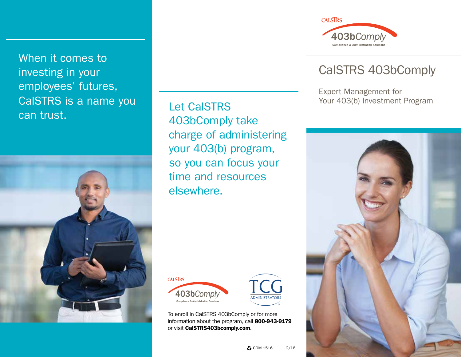When it comes to investing in your employees' futures, CalSTRS is a name you can trust.



Let CalSTRS 403bComply take charge of administering your 403(b) program, so you can focus your time and resources elsewhere.





To enroll in CalSTRS 403bComply or for more information about the program, call 800-943-9179 or visit CalSTRS403bcomply.com.



## CalSTRS 403bComply

Expert Management for Your 403(b) Investment Program